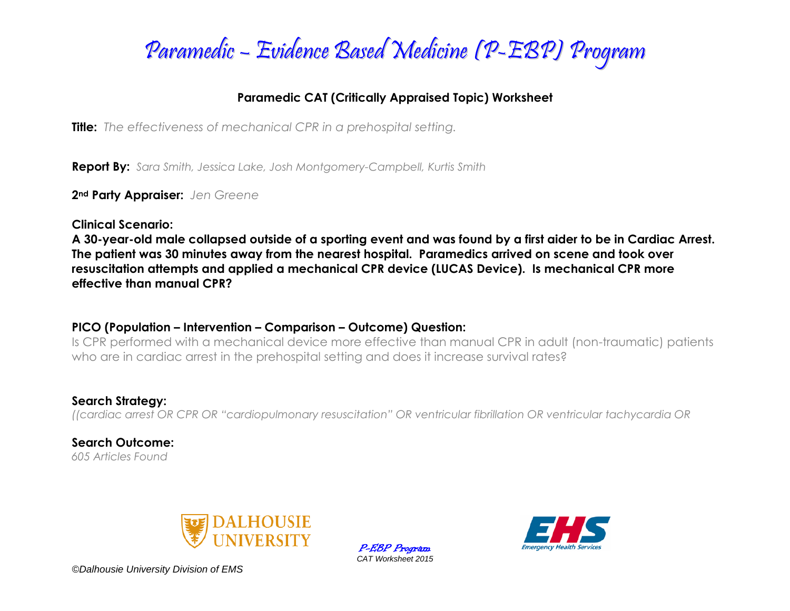

## **Paramedic CAT (Critically Appraised Topic) Worksheet**

**Title:** *The effectiveness of mechanical CPR in a prehospital setting.*

**Report By:** *Sara Smith, Jessica Lake, Josh Montgomery-Campbell, Kurtis Smith*

**2nd Party Appraiser:** *Jen Greene*

**Clinical Scenario:**

**A 30-year-old male collapsed outside of a sporting event and was found by a first aider to be in Cardiac Arrest. The patient was 30 minutes away from the nearest hospital. Paramedics arrived on scene and took over resuscitation attempts and applied a mechanical CPR device (LUCAS Device). Is mechanical CPR more effective than manual CPR?**

## **PICO (Population – Intervention – Comparison – Outcome) Question:**

Is CPR performed with a mechanical device more effective than manual CPR in adult (non-traumatic) patients who are in cardiac arrest in the prehospital setting and does it increase survival rates?

#### **Search Strategy:** *((cardiac arrest OR CPR OR "cardiopulmonary resuscitation" OR ventricular fibrillation OR ventricular tachycardia OR*

**Search Outcome:** *605 Articles Found*



P-EBP Program *CAT Worksheet 2015*



*©Dalhousie University Division of EMS*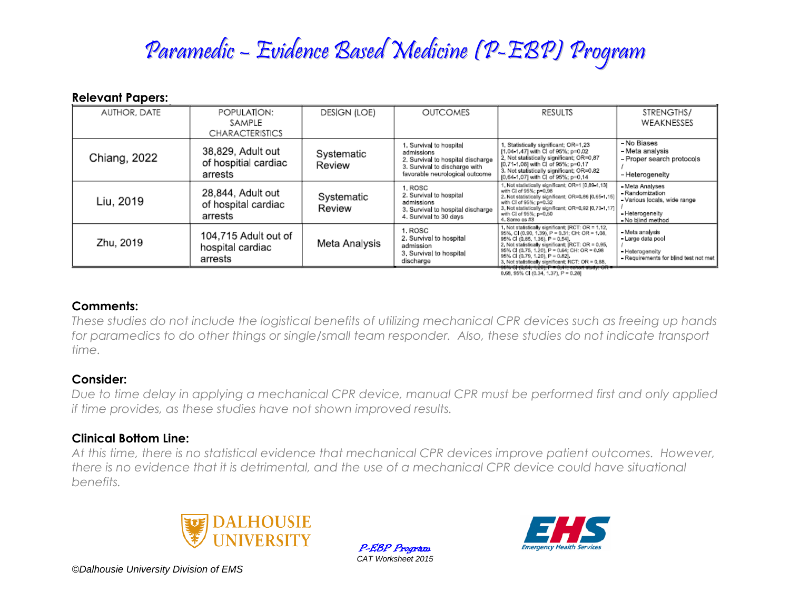# Paramedic – Evidence Based Medicine (P-EBP) Program

#### **Relevant Papers:**

| AUTHOR, DATE | POPULATION:<br>SAMPLE<br><b>CHARACTERISTICS</b>      | DESIGN (LOE)         | <b>OUTCOMES</b>                                                                                                                               | RESULTS                                                                                                                                                                                                                                                                                                                                                                                  | STRENGTHS/<br>WEAKNESSES                                                                                   |
|--------------|------------------------------------------------------|----------------------|-----------------------------------------------------------------------------------------------------------------------------------------------|------------------------------------------------------------------------------------------------------------------------------------------------------------------------------------------------------------------------------------------------------------------------------------------------------------------------------------------------------------------------------------------|------------------------------------------------------------------------------------------------------------|
| Chiang, 2022 | 38,829, Adult out<br>of hospitial cardiac<br>arrests | Systematic<br>Review | I. Survival to hospital<br>admissions<br>2. Survival to hospital discharge<br>3. Survival to discharge with<br>favorable neurological outcome | 1. Statistically significant; OR=1.23<br>[1.04-1.47] with CI of 95%; p=0.02<br>2. Not statistically significant; OR=0.87<br>[0.71.1.06] with CI of 95%; p=0.17<br>3. Not statistically significant; OR=0.82<br>[0.64-1.07] with CI of 95%; p=0.14                                                                                                                                        | - No Biases<br>– Meta analysis<br>- Proper search protocols<br>- Heterogeneity                             |
| Liu, 2019    | 28,844, Adult out<br>of hospital cardiac<br>arrests  | Systematic<br>Review | I. ROSC<br>2. Survival to hospital<br>admissions<br>3. Survival to hospital discharge<br>4. Survival to 30 days                               | 1. Not statistically significant; OR=1 [0.89-1.13]<br>with CI of 95%; p=0.98<br>2. Not statistically significant; OR=0.86 [0.65-1.15]<br>with CI of 95%; p=0.32<br>3. Not statistically significant; OR=0.92 [0,73-1.17]<br>with CI of 95%; p=0.50<br>4. Same as #3                                                                                                                      | - Meta Analyses<br>- Randomization<br>- Various locals, wide range<br>- Heterogeneity<br>- No blind method |
| Zhu, 2019    | 104,715 Adult out of<br>hospital cardiac<br>arrests  | Meta Analysis        | 1. ROSC<br>2. Survival to hospital<br>admission<br>3. Survival to hospital<br>discharge                                                       | 1, Not statistically significant; [RCT: OR = 1,12,<br>95%, CI (0.90, 1.39), P = 0.31; CH: OR = 1.08,<br>95% CI (0.85, 1.36), P = 0.54].<br>2. Not statistically significant; [RCT: OR = 0.95,<br>95% CI (0.75, 1.20), P = 0.64; CH; OR = 0.98<br>95% CI (0.79, 1.20), P = 0.82].<br>3. Not statistically significant; RCT: OR = 0,88,<br>95% GI (0.64, 1.20), P = 0.41; cohort study: OR | - Meta analysis<br>- Large data pool<br>- Heterogeneity<br>- Requirements for blind test not met           |

0.68, 95% CI (0.34, 1.37), P = 0.28]

#### **Comments:**

*These studies do not include the logistical benefits of utilizing mechanical CPR devices such as freeing up hands*  for paramedics to do other things or single/small team responder. Also, these studies do not indicate transport *time.*

#### **Consider:**

*Due to time delay in applying a mechanical CPR device, manual CPR must be performed first and only applied if time provides, as these studies have not shown improved results.*

#### **Clinical Bottom Line:**

*At this time, there is no statistical evidence that mechanical CPR devices improve patient outcomes. However, there is no evidence that it is detrimental, and the use of a mechanical CPR device could have situational benefits.*



P-EBP Program *CAT Worksheet 2015*



*©Dalhousie University Division of EMS*